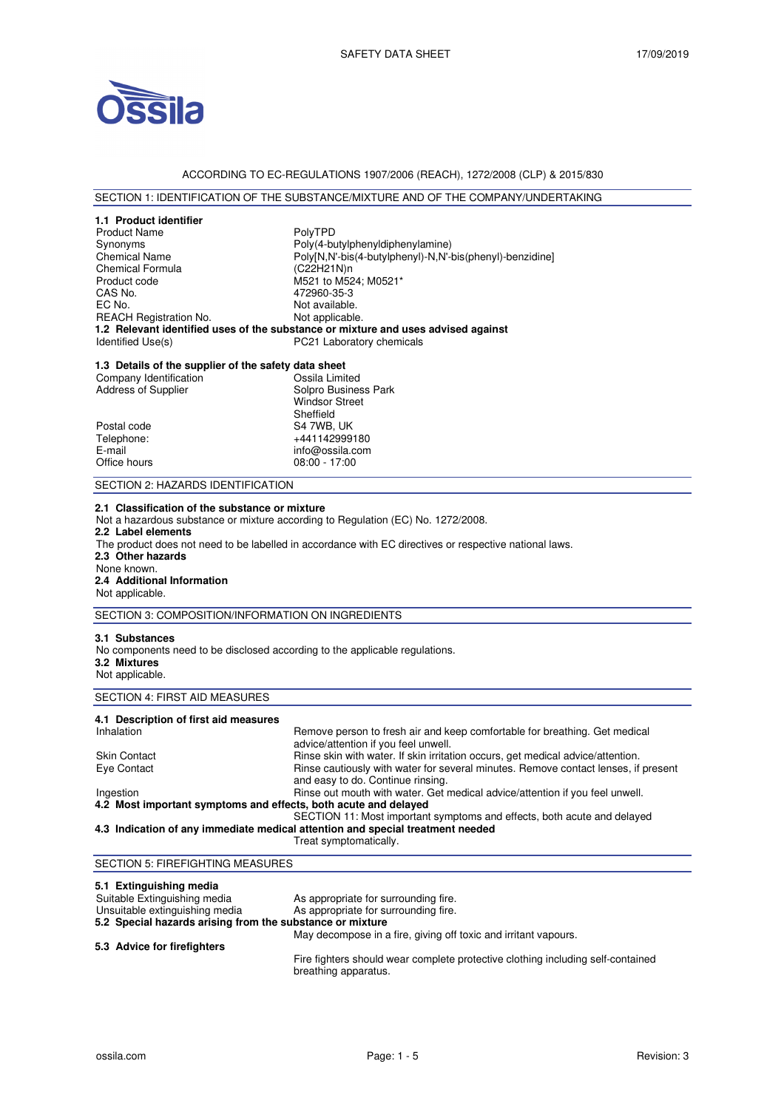

# ACCORDING TO EC-REGULATIONS 1907/2006 (REACH), 1272/2008 (CLP) & 2015/830

# SECTION 1: IDENTIFICATION OF THE SUBSTANCE/MIXTURE AND OF THE COMPANY/UNDERTAKING

| 1.1 Product identifier                                                      |                                                                                                        |  |
|-----------------------------------------------------------------------------|--------------------------------------------------------------------------------------------------------|--|
| <b>Product Name</b>                                                         | PolyTPD                                                                                                |  |
| Synonyms                                                                    | Poly(4-butylphenyldiphenylamine)                                                                       |  |
| Chemical Name                                                               | Poly[N,N'-bis(4-butylphenyl)-N,N'-bis(phenyl)-benzidine]                                               |  |
| <b>Chemical Formula</b>                                                     | (C22H21N)n                                                                                             |  |
| Product code                                                                | M521 to M524; M0521*                                                                                   |  |
| CAS No.                                                                     | 472960-35-3                                                                                            |  |
| EC No.                                                                      | Not available.                                                                                         |  |
| REACH Registration No.                                                      | Not applicable.                                                                                        |  |
|                                                                             | 1.2 Relevant identified uses of the substance or mixture and uses advised against                      |  |
| Identified Use(s)                                                           | PC21 Laboratory chemicals                                                                              |  |
| 1.3 Details of the supplier of the safety data sheet                        |                                                                                                        |  |
| Company Identification                                                      | Ossila Limited                                                                                         |  |
| <b>Address of Supplier</b>                                                  | Solpro Business Park                                                                                   |  |
|                                                                             | <b>Windsor Street</b>                                                                                  |  |
|                                                                             | Sheffield                                                                                              |  |
| Postal code                                                                 | S4 7WB, UK                                                                                             |  |
| Telephone:                                                                  | +441142999180                                                                                          |  |
| E-mail                                                                      | info@ossila.com                                                                                        |  |
| Office hours                                                                | $08:00 - 17:00$                                                                                        |  |
| SECTION 2: HAZARDS IDENTIFICATION                                           |                                                                                                        |  |
| 2.1 Classification of the substance or mixture                              |                                                                                                        |  |
|                                                                             | Not a hazardous substance or mixture according to Regulation (EC) No. 1272/2008.                       |  |
| 2.2 Label elements                                                          |                                                                                                        |  |
|                                                                             | The product does not need to be labelled in accordance with EC directives or respective national laws. |  |
| 2.3 Other hazards                                                           |                                                                                                        |  |
| None known.                                                                 |                                                                                                        |  |
| 2.4 Additional Information                                                  |                                                                                                        |  |
| Not applicable.                                                             |                                                                                                        |  |
| SECTION 3: COMPOSITION/INFORMATION ON INGREDIENTS                           |                                                                                                        |  |
| 3.1 Substances                                                              |                                                                                                        |  |
| No components need to be disclosed according to the applicable regulations. |                                                                                                        |  |
| 3.2 Mixtures                                                                |                                                                                                        |  |
| Not applicable.                                                             |                                                                                                        |  |
| <b>SECTION 4: FIRST AID MEASURES</b>                                        |                                                                                                        |  |
| 4.1 Description of first aid measures                                       |                                                                                                        |  |
| Inhalation                                                                  | Remove person to fresh air and keep comfortable for breathing. Get medical                             |  |
|                                                                             | advice/attention if you feel unwell.                                                                   |  |
| Skin Contact                                                                | Rinse skin with water. If skin irritation occurs, get medical advice/attention.                        |  |
| Eye Contact                                                                 | Rinse cautiously with water for several minutes. Remove contact lenses, if present                     |  |
|                                                                             | and easy to do. Continue rinsing.                                                                      |  |
| Ingestion                                                                   | Rinse out mouth with water. Get medical advice/attention if you feel unwell.                           |  |
| 4.2 Most important symptoms and effects, both acute and delayed             |                                                                                                        |  |
| SECTION 11: Most important symptoms and effects, both acute and delayed     |                                                                                                        |  |
|                                                                             | 4.3 Indication of any immediate medical attention and special treatment needed                         |  |
| Treat symptomatically.                                                      |                                                                                                        |  |

# SECTION 5: FIREFIGHTING MEASURES **5.1 Extinguishing media**

| Suitable Extinguishing media                              | As appropriate for surrounding fire.                                            |
|-----------------------------------------------------------|---------------------------------------------------------------------------------|
| Unsuitable extinguishing media                            | As appropriate for surrounding fire.                                            |
| 5.2 Special hazards arising from the substance or mixture |                                                                                 |
|                                                           | May decompose in a fire, giving off toxic and irritant vapours.                 |
| 5.3 Advice for firefighters                               |                                                                                 |
|                                                           | Fire fighters should wear complete protective elething including solf containes |

Fire fighters should wear complete protective clothing including self-contained breathing apparatus.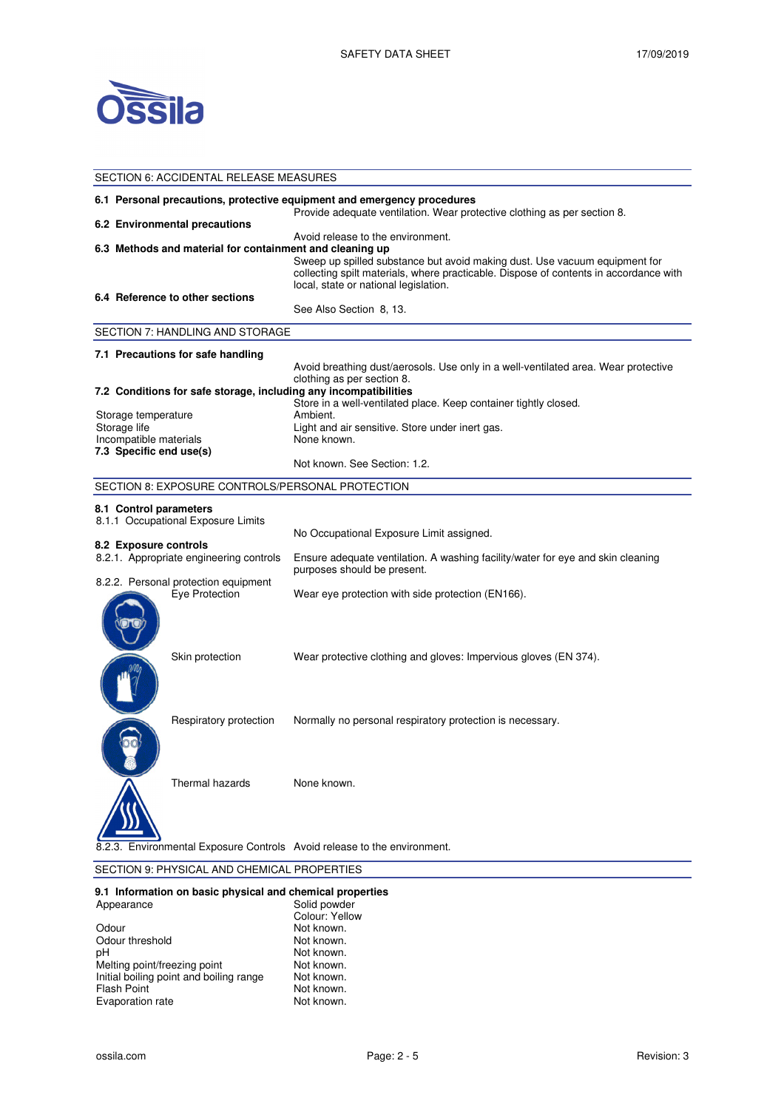

| SECTION 6: ACCIDENTAL RELEASE MEASURES                                                                                                              |                                                          |                                                                                                                                                                                                                                                   |  |  |
|-----------------------------------------------------------------------------------------------------------------------------------------------------|----------------------------------------------------------|---------------------------------------------------------------------------------------------------------------------------------------------------------------------------------------------------------------------------------------------------|--|--|
| 6.1 Personal precautions, protective equipment and emergency procedures<br>Provide adequate ventilation. Wear protective clothing as per section 8. |                                                          |                                                                                                                                                                                                                                                   |  |  |
|                                                                                                                                                     | 6.2 Environmental precautions                            |                                                                                                                                                                                                                                                   |  |  |
|                                                                                                                                                     | 6.3 Methods and material for containment and cleaning up | Avoid release to the environment.<br>Sweep up spilled substance but avoid making dust. Use vacuum equipment for<br>collecting spilt materials, where practicable. Dispose of contents in accordance with<br>local, state or national legislation. |  |  |
|                                                                                                                                                     | 6.4 Reference to other sections                          |                                                                                                                                                                                                                                                   |  |  |
|                                                                                                                                                     |                                                          | See Also Section 8, 13.                                                                                                                                                                                                                           |  |  |
|                                                                                                                                                     | SECTION 7: HANDLING AND STORAGE                          |                                                                                                                                                                                                                                                   |  |  |
|                                                                                                                                                     | 7.1 Precautions for safe handling                        |                                                                                                                                                                                                                                                   |  |  |
|                                                                                                                                                     |                                                          | Avoid breathing dust/aerosols. Use only in a well-ventilated area. Wear protective<br>clothing as per section 8.                                                                                                                                  |  |  |
|                                                                                                                                                     |                                                          | 7.2 Conditions for safe storage, including any incompatibilities                                                                                                                                                                                  |  |  |
|                                                                                                                                                     |                                                          | Store in a well-ventilated place. Keep container tightly closed.                                                                                                                                                                                  |  |  |
| Storage temperature                                                                                                                                 |                                                          | Ambient.                                                                                                                                                                                                                                          |  |  |
| Storage life                                                                                                                                        |                                                          | Light and air sensitive. Store under inert gas.<br>None known.                                                                                                                                                                                    |  |  |
| Incompatible materials<br>7.3 Specific end use(s)                                                                                                   |                                                          |                                                                                                                                                                                                                                                   |  |  |
|                                                                                                                                                     |                                                          | Not known. See Section: 1.2.                                                                                                                                                                                                                      |  |  |
|                                                                                                                                                     | SECTION 8: EXPOSURE CONTROLS/PERSONAL PROTECTION         |                                                                                                                                                                                                                                                   |  |  |
| 8.1 Control parameters                                                                                                                              |                                                          |                                                                                                                                                                                                                                                   |  |  |
|                                                                                                                                                     | 8.1.1 Occupational Exposure Limits                       |                                                                                                                                                                                                                                                   |  |  |
|                                                                                                                                                     |                                                          | No Occupational Exposure Limit assigned.                                                                                                                                                                                                          |  |  |
| 8.2 Exposure controls                                                                                                                               |                                                          |                                                                                                                                                                                                                                                   |  |  |
|                                                                                                                                                     | 8.2.1. Appropriate engineering controls                  | Ensure adequate ventilation. A washing facility/water for eye and skin cleaning<br>purposes should be present.                                                                                                                                    |  |  |
|                                                                                                                                                     | 8.2.2. Personal protection equipment<br>Eve Protection   | Wear eye protection with side protection (EN166).                                                                                                                                                                                                 |  |  |
|                                                                                                                                                     |                                                          |                                                                                                                                                                                                                                                   |  |  |
|                                                                                                                                                     | Skin protection                                          | Wear protective clothing and gloves: Impervious gloves (EN 374).                                                                                                                                                                                  |  |  |
|                                                                                                                                                     | Respiratory protection                                   | Normally no personal respiratory protection is necessary.                                                                                                                                                                                         |  |  |
|                                                                                                                                                     | Thermal hazards                                          | None known.                                                                                                                                                                                                                                       |  |  |
|                                                                                                                                                     |                                                          | Environmental Exposure Controls Avoid release to the environment.                                                                                                                                                                                 |  |  |

# SECTION 9: PHYSICAL AND CHEMICAL PROPERTIES

#### **9.1 Information on basic physical and chemical properties**

| Appearance                              | Solid powder   |
|-----------------------------------------|----------------|
|                                         | Colour: Yellow |
| Odour                                   | Not known.     |
| Odour threshold                         | Not known.     |
| рH                                      | Not known.     |
| Melting point/freezing point            | Not known.     |
| Initial boiling point and boiling range | Not known.     |
| <b>Flash Point</b>                      | Not known.     |
| Evaporation rate                        | Not known.     |
|                                         |                |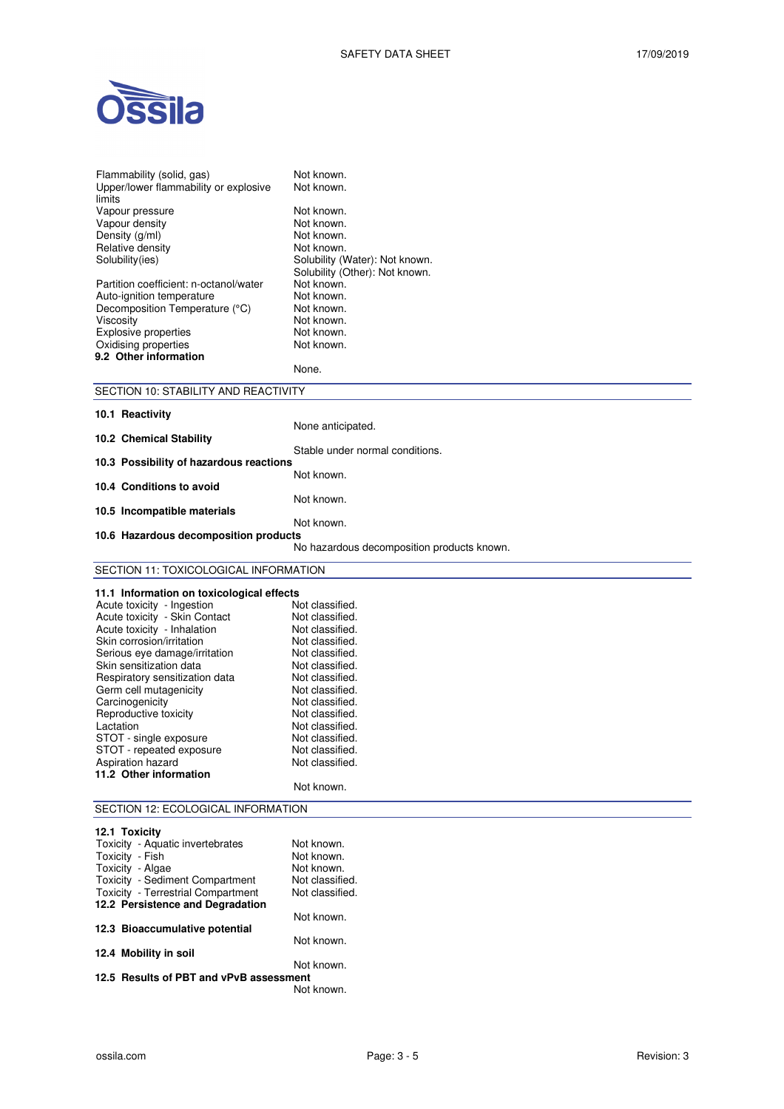

| Flammability (solid, gas)<br>Upper/lower flammability or explosive     | Not known.<br>Not known.                   |  |
|------------------------------------------------------------------------|--------------------------------------------|--|
| limits                                                                 |                                            |  |
| Vapour pressure                                                        | Not known.                                 |  |
| Vapour density                                                         | Not known.<br>Not known.                   |  |
| Density (g/ml)<br>Relative density                                     | Not known.                                 |  |
| Solubility(ies)                                                        | Solubility (Water): Not known.             |  |
|                                                                        | Solubility (Other): Not known.             |  |
| Partition coefficient: n-octanol/water                                 | Not known.                                 |  |
| Auto-ignition temperature                                              | Not known.                                 |  |
| Decomposition Temperature (°C)                                         | Not known.                                 |  |
| Viscosity                                                              | Not known.                                 |  |
| Explosive properties                                                   | Not known.                                 |  |
| Oxidising properties<br>9.2 Other information                          | Not known.                                 |  |
|                                                                        | None.                                      |  |
| SECTION 10: STABILITY AND REACTIVITY                                   |                                            |  |
| 10.1 Reactivity                                                        |                                            |  |
|                                                                        | None anticipated.                          |  |
| 10.2 Chemical Stability                                                |                                            |  |
| 10.3 Possibility of hazardous reactions                                | Stable under normal conditions.            |  |
|                                                                        | Not known.                                 |  |
| 10.4 Conditions to avoid                                               |                                            |  |
|                                                                        | Not known.                                 |  |
| 10.5 Incompatible materials                                            | Not known.                                 |  |
| 10.6 Hazardous decomposition products                                  |                                            |  |
|                                                                        | No hazardous decomposition products known. |  |
| SECTION 11: TOXICOLOGICAL INFORMATION                                  |                                            |  |
| 11.1 Information on toxicological effects                              |                                            |  |
| Acute toxicity - Ingestion                                             | Not classified.                            |  |
| Acute toxicity - Skin Contact                                          | Not classified.                            |  |
| Acute toxicity - Inhalation                                            | Not classified.                            |  |
| Skin corrosion/irritation                                              | Not classified.                            |  |
| Serious eye damage/irritation                                          | Not classified.                            |  |
| Skin sensitization data                                                | Not classified.                            |  |
| Respiratory sensitization data                                         | Not classified.                            |  |
| Germ cell mutagenicity                                                 | Not classified.                            |  |
| Carcinogenicity<br>Reproductive toxicity                               | Not classified.<br>Not classified.         |  |
| Lactation                                                              | Not classified.                            |  |
| STOT - single exposure                                                 | Not classified.                            |  |
| STOT - repeated exposure                                               | Not classified.                            |  |
| Aspiration hazard                                                      | Not classified.                            |  |
| 11.2 Other information                                                 | Not known.                                 |  |
|                                                                        |                                            |  |
| SECTION 12: ECOLOGICAL INFORMATION                                     |                                            |  |
| 12.1 Toxicity                                                          |                                            |  |
| Toxicity - Aquatic invertebrates                                       | Not known.                                 |  |
| Toxicity - Fish                                                        | Not known.                                 |  |
| Toxicity - Algae                                                       | Not known.                                 |  |
| Toxicity - Sediment Compartment                                        | Not classified.                            |  |
| Toxicity - Terrestrial Compartment<br>12.2 Persistence and Degradation | Not classified.                            |  |
|                                                                        | Not known.                                 |  |
| 12.3 Bioaccumulative potential                                         |                                            |  |
|                                                                        | Not known.                                 |  |
| 12.4 Mobility in soil                                                  |                                            |  |
|                                                                        | Not known.                                 |  |

**12.5 Results of PBT and vPvB assessment**  Not known.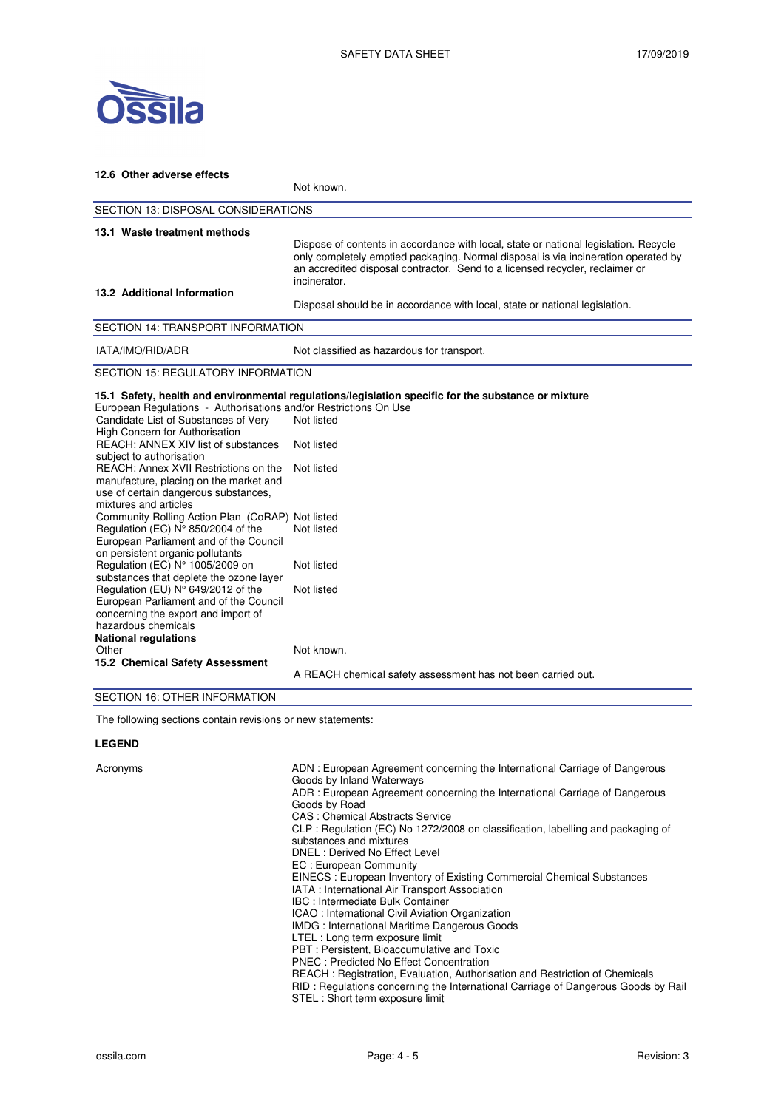

| 12.6 Other adverse effects                                                                                                                                                                                                                                                                                                                                        |                                                                                                                                                                                                                                                                            |  |  |  |
|-------------------------------------------------------------------------------------------------------------------------------------------------------------------------------------------------------------------------------------------------------------------------------------------------------------------------------------------------------------------|----------------------------------------------------------------------------------------------------------------------------------------------------------------------------------------------------------------------------------------------------------------------------|--|--|--|
|                                                                                                                                                                                                                                                                                                                                                                   | Not known.                                                                                                                                                                                                                                                                 |  |  |  |
| <b>SECTION 13: DISPOSAL CONSIDERATIONS</b>                                                                                                                                                                                                                                                                                                                        |                                                                                                                                                                                                                                                                            |  |  |  |
| 13.1 Waste treatment methods                                                                                                                                                                                                                                                                                                                                      | Dispose of contents in accordance with local, state or national legislation. Recycle<br>only completely emptied packaging. Normal disposal is via incineration operated by<br>an accredited disposal contractor. Send to a licensed recycler, reclaimer or<br>incinerator. |  |  |  |
| 13.2 Additional Information                                                                                                                                                                                                                                                                                                                                       | Disposal should be in accordance with local, state or national legislation.                                                                                                                                                                                                |  |  |  |
| <b>SECTION 14: TRANSPORT INFORMATION</b>                                                                                                                                                                                                                                                                                                                          |                                                                                                                                                                                                                                                                            |  |  |  |
| IATA/IMO/RID/ADR                                                                                                                                                                                                                                                                                                                                                  | Not classified as hazardous for transport.                                                                                                                                                                                                                                 |  |  |  |
| <b>SECTION 15: REGULATORY INFORMATION</b>                                                                                                                                                                                                                                                                                                                         |                                                                                                                                                                                                                                                                            |  |  |  |
| European Regulations - Authorisations and/or Restrictions On Use<br>Candidate List of Substances of Very<br>High Concern for Authorisation<br>REACH: ANNEX XIV list of substances<br>subject to authorisation<br>REACH: Annex XVII Restrictions on the<br>manufacture, placing on the market and<br>use of certain dangerous substances,<br>mixtures and articles | 15.1 Safety, health and environmental regulations/legislation specific for the substance or mixture<br>Not listed<br>Not listed<br>Not listed                                                                                                                              |  |  |  |
| Community Rolling Action Plan (CoRAP) Not listed<br>Regulation (EC) N° 850/2004 of the<br>European Parliament and of the Council<br>on persistent organic pollutants<br>Regulation (EC) N° 1005/2009 on                                                                                                                                                           | Not listed<br>Not listed                                                                                                                                                                                                                                                   |  |  |  |
| substances that deplete the ozone layer<br>Regulation (EU) N° 649/2012 of the<br>European Parliament and of the Council<br>concerning the export and import of<br>hazardous chemicals<br><b>National regulations</b>                                                                                                                                              | Not listed                                                                                                                                                                                                                                                                 |  |  |  |
| Other<br>15.2 Chemical Safety Assessment<br>$\overline{z}$                                                                                                                                                                                                                                                                                                        | Not known.<br>A REACH chemical safety assessment has not been carried out.                                                                                                                                                                                                 |  |  |  |

#### SECTION 16: OTHER INFORMATION

The following sections contain revisions or new statements:

#### **LEGEND**